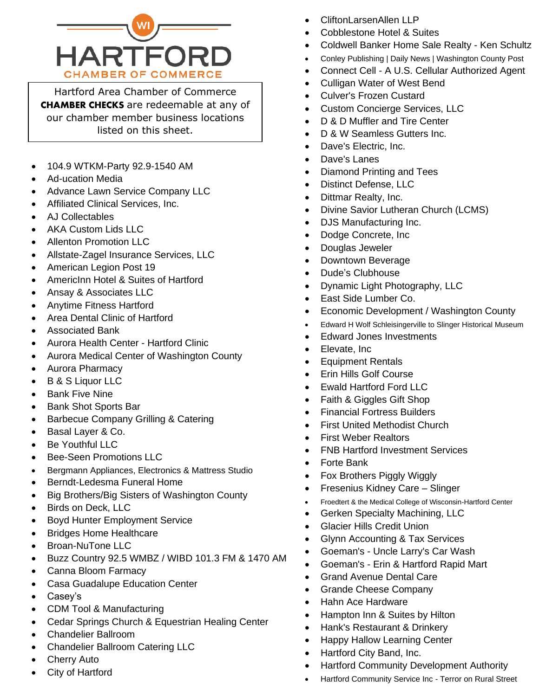

Hartford Area Chamber of Commerce CHAMBER CHECKS are redeemable at any of our chamber member business locations listed on this sheet.

- 104.9 WTKM-Party 92.9-1540 AM
- Ad-ucation Media
- Advance Lawn Service Company LLC
- Affiliated Clinical Services, Inc.
- AJ Collectables
- AKA Custom Lids LLC
- Allenton Promotion LLC
- Allstate-Zagel Insurance Services, LLC
- American Legion Post 19
- AmericInn Hotel & Suites of Hartford
- Ansay & Associates LLC
- Anytime Fitness Hartford
- Area Dental Clinic of Hartford
- Associated Bank
- Aurora Health Center Hartford Clinic
- Aurora Medical Center of Washington County
- Aurora Pharmacy
- B & S Liquor LLC
- Bank Five Nine
- Bank Shot Sports Bar
- Barbecue Company Grilling & Catering
- Basal Layer & Co.
- Be Youthful LLC
- Bee-Seen Promotions LLC
- Bergmann Appliances, Electronics & Mattress Studio
- Berndt-Ledesma Funeral Home
- Big Brothers/Big Sisters of Washington County
- Birds on Deck, LLC
- Boyd Hunter Employment Service
- Bridges Home Healthcare
- Broan-NuTone LLC
- Buzz Country 92.5 WMBZ / WIBD 101.3 FM & 1470 AM
- Canna Bloom Farmacy
- Casa Guadalupe Education Center
- Casey's
- CDM Tool & Manufacturing
- Cedar Springs Church & Equestrian Healing Center
- Chandelier Ballroom
- Chandelier Ballroom Catering LLC
- **Cherry Auto**
- City of Hartford
- CliftonLarsenAllen LLP
- Cobblestone Hotel & Suites
- Coldwell Banker Home Sale Realty Ken Schultz
- Conley Publishing | Daily News | Washington County Post
- Connect Cell A U.S. Cellular Authorized Agent
- Culligan Water of West Bend
- Culver's Frozen Custard
- Custom Concierge Services, LLC
- D & D Muffler and Tire Center
- D & W Seamless Gutters Inc.
- Dave's Electric, Inc.
- Dave's Lanes
- Diamond Printing and Tees
- Distinct Defense, LLC
- Dittmar Realty, Inc.
- Divine Savior Lutheran Church (LCMS)
- DJS Manufacturing Inc.
- Dodge Concrete, Inc
- Douglas Jeweler
- Downtown Beverage
- Dude's Clubhouse
- Dynamic Light Photography, LLC
- East Side Lumber Co.
- Economic Development / Washington County
- Edward H Wolf Schleisingerville to Slinger Historical Museum
- Edward Jones Investments
- Elevate, Inc
- Equipment Rentals
- Erin Hills Golf Course
- Ewald Hartford Ford LLC
- Faith & Giggles Gift Shop
- Financial Fortress Builders
- **First United Methodist Church**
- First Weber Realtors
- FNB Hartford Investment Services
- Forte Bank
- Fox Brothers Piggly Wiggly
- Fresenius Kidney Care Slinger
- Froedtert & the Medical College of Wisconsin-Hartford Center
- Gerken Specialty Machining, LLC
- Glacier Hills Credit Union
- Glynn Accounting & Tax Services
- Goeman's Uncle Larry's Car Wash
- Goeman's Erin & Hartford Rapid Mart
- Grand Avenue Dental Care
- Grande Cheese Company
- Hahn Ace Hardware
- Hampton Inn & Suites by Hilton
- Hank's Restaurant & Drinkery
- Happy Hallow Learning Center
- Hartford City Band, Inc.
- Hartford Community Development Authority
- Hartford Community Service Inc Terror on Rural Street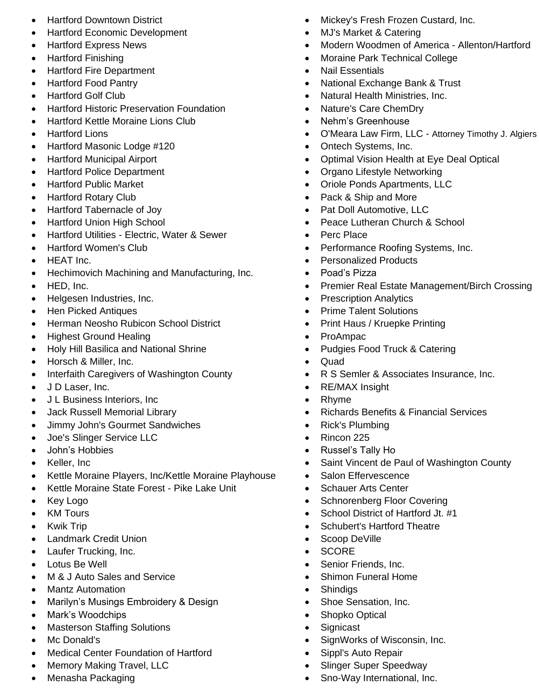- Hartford Downtown District
- Hartford Economic Development
- Hartford Express News
- Hartford Finishing
- Hartford Fire Department
- Hartford Food Pantry
- Hartford Golf Club
- Hartford Historic Preservation Foundation
- Hartford Kettle Moraine Lions Club
- Hartford Lions
- Hartford Masonic Lodge #120
- Hartford Municipal Airport
- Hartford Police Department
- Hartford Public Market
- Hartford Rotary Club
- Hartford Tabernacle of Joy
- Hartford Union High School
- Hartford Utilities Electric, Water & Sewer
- Hartford Women's Club
- HEAT Inc.
- Hechimovich Machining and Manufacturing, Inc.
- HED, Inc.
- Helgesen Industries, Inc.
- Hen Picked Antiques
- Herman Neosho Rubicon School District
- Highest Ground Healing
- Holy Hill Basilica and National Shrine
- Horsch & Miller, Inc.
- Interfaith Caregivers of Washington County
- J D Laser, Inc.
- J L Business Interiors, Inc
- Jack Russell Memorial Library
- Jimmy John's Gourmet Sandwiches
- Joe's Slinger Service LLC
- John's Hobbies
- Keller, Inc
- Kettle Moraine Players, Inc/Kettle Moraine Playhouse
- Kettle Moraine State Forest Pike Lake Unit
- Key Logo
- KM Tours
- Kwik Trip
- Landmark Credit Union
- Laufer Trucking, Inc.
- Lotus Be Well
- M & J Auto Sales and Service
- Mantz Automation
- Marilyn's Musings Embroidery & Design
- Mark's Woodchips
- Masterson Staffing Solutions
- Mc Donald's
- Medical Center Foundation of Hartford
- Memory Making Travel, LLC
- Menasha Packaging
- Mickey's Fresh Frozen Custard, Inc.
- MJ's Market & Catering
- Modern Woodmen of America Allenton/Hartford
- Moraine Park Technical College
- Nail Essentials
- National Exchange Bank & Trust
- Natural Health Ministries, Inc.
- Nature's Care ChemDry
- Nehm's Greenhouse
- O'Meara Law Firm, LLC Attorney Timothy J. Algiers
- Ontech Systems, Inc.
- Optimal Vision Health at Eye Deal Optical
- Organo Lifestyle Networking
- Oriole Ponds Apartments, LLC
- Pack & Ship and More
- Pat Doll Automotive, LLC
- Peace Lutheran Church & School
- Perc Place
- Performance Roofing Systems, Inc.
- Personalized Products
- Poad's Pizza
- Premier Real Estate Management/Birch Crossing
- Prescription Analytics
- Prime Talent Solutions
- Print Haus / Kruepke Printing
- ProAmpac
- Pudgies Food Truck & Catering
- Quad
- R S Semler & Associates Insurance, Inc.
- RE/MAX Insight
- Rhyme
- Richards Benefits & Financial Services
- Rick's Plumbing
- Rincon 225
- Russel's Tally Ho
- Saint Vincent de Paul of Washington County
- Salon Effervescence
- Schauer Arts Center
- Schnorenberg Floor Covering
- School District of Hartford Jt. #1

SignWorks of Wisconsin, Inc.

- Schubert's Hartford Theatre
- Scoop DeVille
- SCORE
- Senior Friends, Inc.
- Shimon Funeral Home
- Shindigs

• Signicast

• Shoe Sensation, Inc.

• Sippl's Auto Repair

• Slinger Super Speedway • Sno-Way International, Inc.

• Shopko Optical